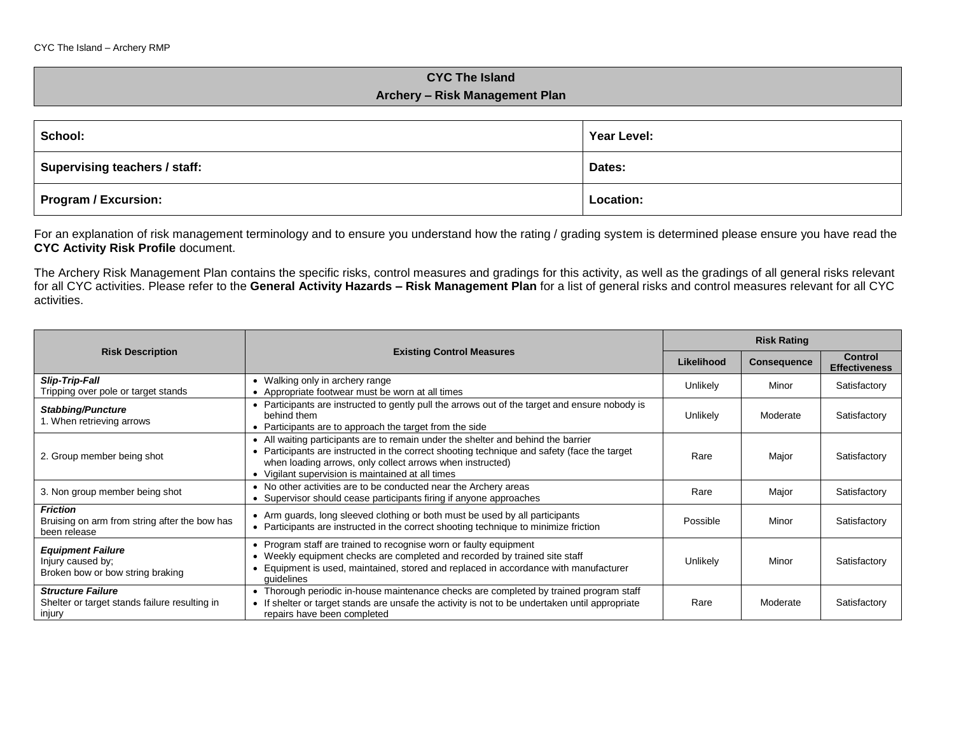## **CYC The Island Archery – Risk Management Plan**

| School:                       | Year Level: |  |
|-------------------------------|-------------|--|
| Supervising teachers / staff: | Dates:      |  |
| <b>Program / Excursion:</b>   | Location:   |  |

For an explanation of risk management terminology and to ensure you understand how the rating / grading system is determined please ensure you have read the **CYC Activity Risk Profile** document.

The Archery Risk Management Plan contains the specific risks, control measures and gradings for this activity, as well as the gradings of all general risks relevant for all CYC activities. Please refer to the **General Activity Hazards – Risk Management Plan** for a list of general risks and control measures relevant for all CYC activities.

|                                                                                     |                                                                                                                                                                                                                                                                                                    |            | <b>Risk Rating</b> |                                        |  |
|-------------------------------------------------------------------------------------|----------------------------------------------------------------------------------------------------------------------------------------------------------------------------------------------------------------------------------------------------------------------------------------------------|------------|--------------------|----------------------------------------|--|
| <b>Risk Description</b>                                                             | <b>Existing Control Measures</b>                                                                                                                                                                                                                                                                   | Likelihood | <b>Consequence</b> | <b>Control</b><br><b>Effectiveness</b> |  |
| <b>Slip-Trip-Fall</b><br>Tripping over pole or target stands                        | • Walking only in archery range<br>• Appropriate footwear must be worn at all times                                                                                                                                                                                                                | Unlikely   | Minor              | Satisfactory                           |  |
| <b>Stabbing/Puncture</b><br>1. When retrieving arrows                               | • Participants are instructed to gently pull the arrows out of the target and ensure nobody is<br>behind them<br>• Participants are to approach the target from the side                                                                                                                           | Unlikely   | Moderate           | Satisfactory                           |  |
| 2. Group member being shot                                                          | • All waiting participants are to remain under the shelter and behind the barrier<br>• Participants are instructed in the correct shooting technique and safety (face the target<br>when loading arrows, only collect arrows when instructed)<br>• Vigilant supervision is maintained at all times | Rare       | Major              | Satisfactory                           |  |
| 3. Non group member being shot                                                      | • No other activities are to be conducted near the Archery areas<br>• Supervisor should cease participants firing if anyone approaches                                                                                                                                                             | Rare       | Major              | Satisfactory                           |  |
| <b>Friction</b><br>Bruising on arm from string after the bow has<br>been release    | • Arm guards, long sleeved clothing or both must be used by all participants<br>• Participants are instructed in the correct shooting technique to minimize friction                                                                                                                               | Possible   | Minor              | Satisfactory                           |  |
| <b>Equipment Failure</b><br>Injury caused by;<br>Broken bow or bow string braking   | • Program staff are trained to recognise worn or faulty equipment<br>• Weekly equipment checks are completed and recorded by trained site staff<br>Equipment is used, maintained, stored and replaced in accordance with manufacturer<br>quidelines                                                | Unlikely   | Minor              | Satisfactory                           |  |
| <b>Structure Failure</b><br>Shelter or target stands failure resulting in<br>injury | • Thorough periodic in-house maintenance checks are completed by trained program staff<br>• If shelter or target stands are unsafe the activity is not to be undertaken until appropriate<br>repairs have been completed                                                                           | Rare       | Moderate           | Satisfactory                           |  |